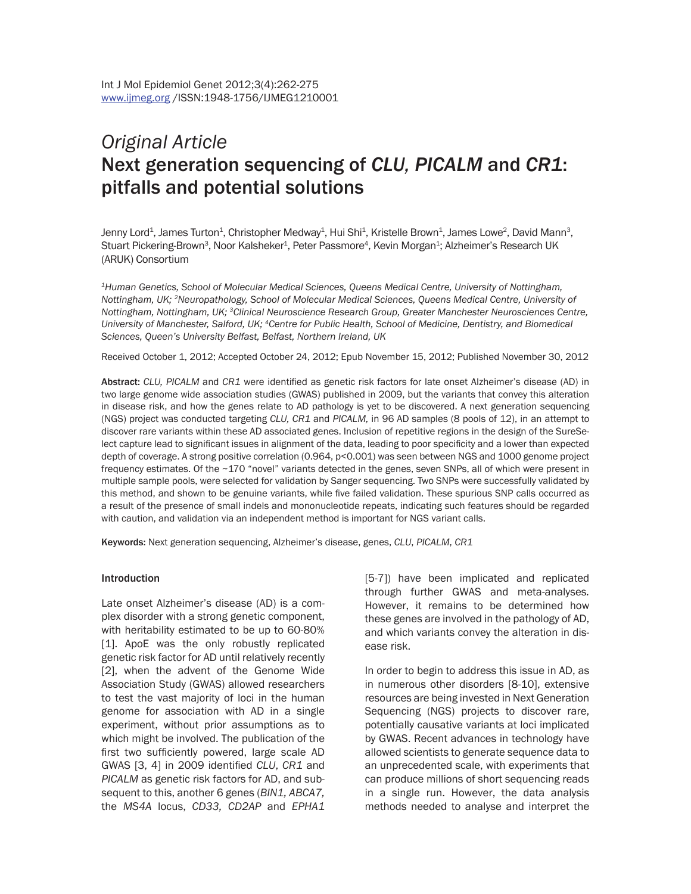# *Original Article* Next generation sequencing of *CLU, PICALM* and *CR1*: pitfalls and potential solutions

Jenny Lord<sup>1</sup>, James Turton<sup>1</sup>, Christopher Medway<sup>1</sup>, Hui Shi<sup>1</sup>, Kristelle Brown<sup>1</sup>, James Lowe<sup>2</sup>, David Mann<sup>3</sup>, Stuart Pickering-Brown<sup>3</sup>, Noor Kalsheker<sup>1</sup>, Peter Passmore<sup>4</sup>, Kevin Morgan<sup>1</sup>; Alzheimer's Research UK (ARUK) Consortium

*1Human Genetics, School of Molecular Medical Sciences, Queens Medical Centre, University of Nottingham, Nottingham, UK; 2Neuropathology, School of Molecular Medical Sciences, Queens Medical Centre, University of Nottingham, Nottingham, UK; 3Clinical Neuroscience Research Group, Greater Manchester Neurosciences Centre, University of Manchester, Salford, UK; 4Centre for Public Health, School of Medicine, Dentistry, and Biomedical Sciences, Queen's University Belfast, Belfast, Northern Ireland, UK*

Received October 1, 2012; Accepted October 24, 2012; Epub November 15, 2012; Published November 30, 2012

Abstract: *CLU, PICALM* and *CR1* were identified as genetic risk factors for late onset Alzheimer's disease (AD) in two large genome wide association studies (GWAS) published in 2009, but the variants that convey this alteration in disease risk, and how the genes relate to AD pathology is yet to be discovered. A next generation sequencing (NGS) project was conducted targeting *CLU, CR1* and *PICALM,* in 96 AD samples (8 pools of 12), in an attempt to discover rare variants within these AD associated genes. Inclusion of repetitive regions in the design of the SureSelect capture lead to significant issues in alignment of the data, leading to poor specificity and a lower than expected depth of coverage. A strong positive correlation (0.964, p<0.001) was seen between NGS and 1000 genome project frequency estimates. Of the ~170 "novel" variants detected in the genes, seven SNPs, all of which were present in multiple sample pools, were selected for validation by Sanger sequencing. Two SNPs were successfully validated by this method, and shown to be genuine variants, while five failed validation. These spurious SNP calls occurred as a result of the presence of small indels and mononucleotide repeats, indicating such features should be regarded with caution, and validation via an independent method is important for NGS variant calls.

Keywords: Next generation sequencing, Alzheimer's disease, genes, *CLU*, *PICALM*, *CR1*

#### Introduction

Late onset Alzheimer's disease (AD) is a complex disorder with a strong genetic component, with heritability estimated to be up to 60-80% [1]. ApoE was the only robustly replicated genetic risk factor for AD until relatively recently [2], when the advent of the Genome Wide Association Study (GWAS) allowed researchers to test the vast majority of loci in the human genome for association with AD in a single experiment, without prior assumptions as to which might be involved. The publication of the first two sufficiently powered, large scale AD GWAS [3, 4] in 2009 identified *CLU*, *CR1* and *PICALM* as genetic risk factors for AD, and subsequent to this, another 6 genes (*BIN1, ABCA7,*  the *MS4A* locus, *CD33, CD2AP* and *EPHA1*  [5-7]) have been implicated and replicated through further GWAS and meta-analyses*.*  However, it remains to be determined how these genes are involved in the pathology of AD, and which variants convey the alteration in disease risk.

In order to begin to address this issue in AD, as in numerous other disorders [8-10], extensive resources are being invested in Next Generation Sequencing (NGS) projects to discover rare, potentially causative variants at loci implicated by GWAS. Recent advances in technology have allowed scientists to generate sequence data to an unprecedented scale, with experiments that can produce millions of short sequencing reads in a single run. However, the data analysis methods needed to analyse and interpret the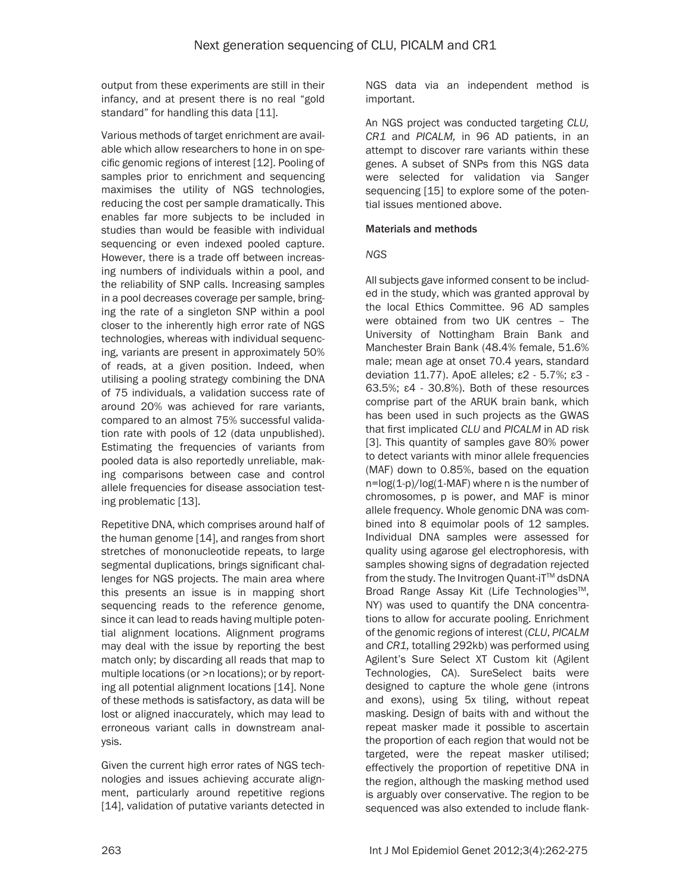output from these experiments are still in their infancy, and at present there is no real "gold standard" for handling this data [11].

Various methods of target enrichment are available which allow researchers to hone in on specific genomic regions of interest [12]. Pooling of samples prior to enrichment and sequencing maximises the utility of NGS technologies, reducing the cost per sample dramatically. This enables far more subjects to be included in studies than would be feasible with individual sequencing or even indexed pooled capture. However, there is a trade off between increasing numbers of individuals within a pool, and the reliability of SNP calls. Increasing samples in a pool decreases coverage per sample, bringing the rate of a singleton SNP within a pool closer to the inherently high error rate of NGS technologies, whereas with individual sequencing, variants are present in approximately 50% of reads, at a given position. Indeed, when utilising a pooling strategy combining the DNA of 75 individuals, a validation success rate of around 20% was achieved for rare variants, compared to an almost 75% successful validation rate with pools of 12 (data unpublished). Estimating the frequencies of variants from pooled data is also reportedly unreliable, making comparisons between case and control allele frequencies for disease association testing problematic [13].

Repetitive DNA, which comprises around half of the human genome [14], and ranges from short stretches of mononucleotide repeats, to large segmental duplications, brings significant challenges for NGS projects. The main area where this presents an issue is in mapping short sequencing reads to the reference genome, since it can lead to reads having multiple potential alignment locations. Alignment programs may deal with the issue by reporting the best match only; by discarding all reads that map to multiple locations (or >n locations); or by reporting all potential alignment locations [14]. None of these methods is satisfactory, as data will be lost or aligned inaccurately, which may lead to erroneous variant calls in downstream analysis.

Given the current high error rates of NGS technologies and issues achieving accurate alignment, particularly around repetitive regions [14], validation of putative variants detected in NGS data via an independent method is important.

An NGS project was conducted targeting *CLU, CR1* and *PICALM,* in 96 AD patients, in an attempt to discover rare variants within these genes. A subset of SNPs from this NGS data were selected for validation via Sanger sequencing [15] to explore some of the potential issues mentioned above.

## Materials and methods

# *NGS*

All subjects gave informed consent to be included in the study, which was granted approval by the local Ethics Committee. 96 AD samples were obtained from two UK centres – The University of Nottingham Brain Bank and Manchester Brain Bank (48.4% female, 51.6% male; mean age at onset 70.4 years, standard deviation 11.77). ApoE alleles; ε2 - 5.7%; ε3 - 63.5%; ε4 - 30.8%). Both of these resources comprise part of the ARUK brain bank, which has been used in such projects as the GWAS that first implicated *CLU* and *PICALM* in AD risk [3]. This quantity of samples gave 80% power to detect variants with minor allele frequencies (MAF) down to 0.85%, based on the equation n=log(1-p)/log(1-MAF) where n is the number of chromosomes, p is power, and MAF is minor allele frequency. Whole genomic DNA was combined into 8 equimolar pools of 12 samples. Individual DNA samples were assessed for quality using agarose gel electrophoresis, with samples showing signs of degradation rejected from the study. The Invitrogen Quant-iT™ dsDNA Broad Range Assay Kit (Life Technologies™, NY) was used to quantify the DNA concentrations to allow for accurate pooling. Enrichment of the genomic regions of interest (*CLU*, *PICALM*  and *CR1,* totalling 292kb) was performed using Agilent's Sure Select XT Custom kit (Agilent Technologies, CA). SureSelect baits were designed to capture the whole gene (introns and exons), using 5x tiling, without repeat masking. Design of baits with and without the repeat masker made it possible to ascertain the proportion of each region that would not be targeted, were the repeat masker utilised; effectively the proportion of repetitive DNA in the region, although the masking method used is arguably over conservative. The region to be sequenced was also extended to include flank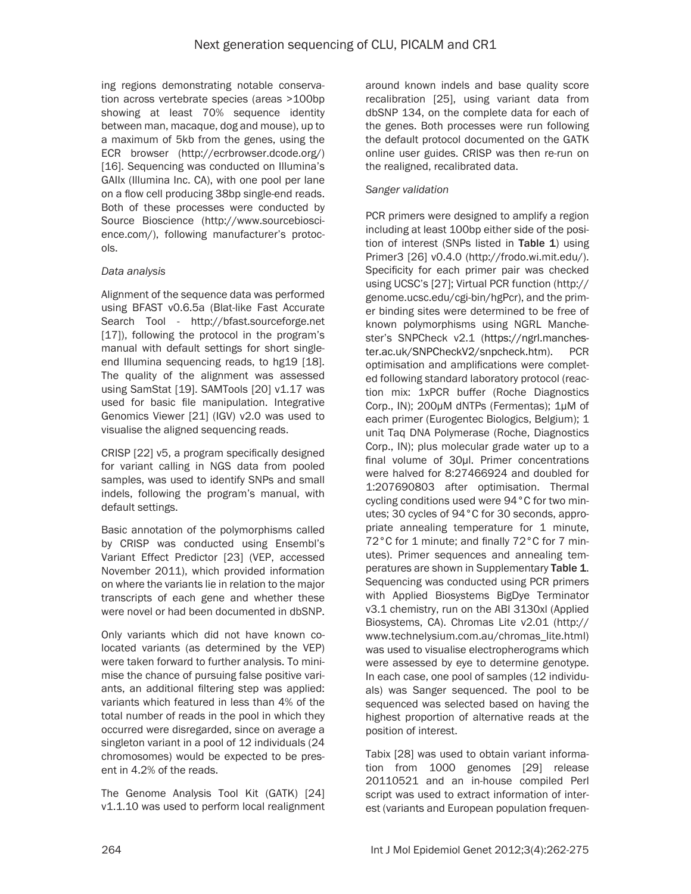ing regions demonstrating notable conservation across vertebrate species (areas >100bp showing at least 70% sequence identity between man, macaque, dog and mouse), up to a maximum of 5kb from the genes, using the ECR browser (http://ecrbrowser.dcode.org/) [16]. Sequencing was conducted on Illumina's GAIIx (Illumina Inc. CA), with one pool per lane on a flow cell producing 38bp single-end reads. Both of these processes were conducted by Source Bioscience (http://www.sourcebioscience.com/), following manufacturer's protocols.

## *Data analysis*

Alignment of the sequence data was performed using BFAST v0.6.5a (Blat-like Fast Accurate Search Tool - http://bfast.sourceforge.net [17]), following the protocol in the program's manual with default settings for short singleend Illumina sequencing reads, to hg19 [18]. The quality of the alignment was assessed using SamStat [19]. SAMTools [20] v1.17 was used for basic file manipulation. Integrative Genomics Viewer [21] (IGV) v2.0 was used to visualise the aligned sequencing reads.

CRISP [22] v5, a program specifically designed for variant calling in NGS data from pooled samples, was used to identify SNPs and small indels, following the program's manual, with default settings.

Basic annotation of the polymorphisms called by CRISP was conducted using Ensembl's Variant Effect Predictor [23] (VEP, accessed November 2011), which provided information on where the variants lie in relation to the major transcripts of each gene and whether these were novel or had been documented in dbSNP.

Only variants which did not have known colocated variants (as determined by the VEP) were taken forward to further analysis. To minimise the chance of pursuing false positive variants, an additional filtering step was applied: variants which featured in less than 4% of the total number of reads in the pool in which they occurred were disregarded, since on average a singleton variant in a pool of 12 individuals (24 chromosomes) would be expected to be present in 4.2% of the reads.

The Genome Analysis Tool Kit (GATK) [24] v1.1.10 was used to perform local realignment around known indels and base quality score recalibration [25], using variant data from dbSNP 134, on the complete data for each of the genes. Both processes were run following the default protocol documented on the GATK online user guides. CRISP was then re-run on the realigned, recalibrated data.

# *Sanger validation*

PCR primers were designed to amplify a region including at least 100bp either side of the position of interest (SNPs listed in Table  $1$ ) using Primer3 [26] v0.4.0 (http://frodo.wi.mit.edu/). Specificity for each primer pair was checked using UCSC's [27]; Virtual PCR function (http:// genome.ucsc.edu/cgi-bin/hgPcr), and the primer binding sites were determined to be free of known polymorphisms using NGRL Manchester's SNPCheck v2.1 (https://ngrl.manchester.ac.uk/SNPCheckV2/snpcheck.htm). PCR optimisation and amplifications were completed following standard laboratory protocol (reaction mix: 1xPCR buffer (Roche Diagnostics Corp., IN); 200µM dNTPs (Fermentas); 1µM of each primer (Eurogentec Biologics, Belgium); 1 unit Taq DNA Polymerase (Roche, Diagnostics Corp., IN); plus molecular grade water up to a final volume of 30µl. Primer concentrations were halved for 8:27466924 and doubled for 1:207690803 after optimisation. Thermal cycling conditions used were 94°C for two minutes; 30 cycles of 94°C for 30 seconds, appropriate annealing temperature for 1 minute, 72°C for 1 minute; and finally 72°C for 7 minutes). Primer sequences and annealing temperatures are shown in Supplementary Table 1. Sequencing was conducted using PCR primers with Applied Biosystems BigDye Terminator v3.1 chemistry, run on the ABI 3130xl (Applied Biosystems, CA). Chromas Lite v2.01 (http:// www.technelysium.com.au/chromas\_lite.html) was used to visualise electropherograms which were assessed by eye to determine genotype. In each case, one pool of samples (12 individuals) was Sanger sequenced. The pool to be sequenced was selected based on having the highest proportion of alternative reads at the position of interest.

Tabix [28] was used to obtain variant information from 1000 genomes [29] release 20110521 and an in-house compiled Perl script was used to extract information of interest (variants and European population frequen-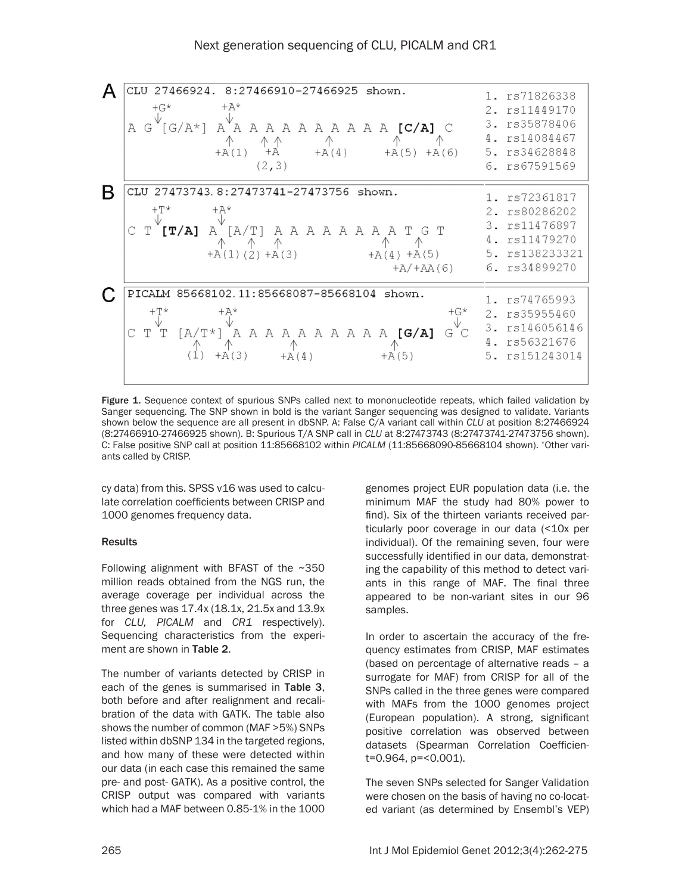

Figure 1. Sequence context of spurious SNPs called next to mononucleotide repeats, which failed validation by Sanger sequencing. The SNP shown in bold is the variant Sanger sequencing was designed to validate. Variants shown below the sequence are all present in dbSNP. A: False C/A variant call within *CLU* at position 8:27466924 (8:27466910-27466925 shown). B: Spurious T/A SNP call in *CLU* at 8:27473743 (8:27473741-27473756 shown). C: False positive SNP call at position 11:85668102 within *PICALM* (11:85668090-85668104 shown). \*Other variants called by CRISP.

cy data) from this. SPSS v16 was used to calculate correlation coefficients between CRISP and 1000 genomes frequency data.

# Results

Following alignment with BFAST of the ~350 million reads obtained from the NGS run, the average coverage per individual across the three genes was 17.4x (18.1x, 21.5x and 13.9x for *CLU, PICALM* and *CR1* respectively). Sequencing characteristics from the experiment are shown in Table 2.

The number of variants detected by CRISP in each of the genes is summarised in Table 3, both before and after realignment and recalibration of the data with GATK. The table also shows the number of common (MAF >5%) SNPs listed within dbSNP 134 in the targeted regions, and how many of these were detected within our data (in each case this remained the same pre- and post- GATK). As a positive control, the CRISP output was compared with variants which had a MAF between 0.85-1% in the 1000 genomes project EUR population data (i.e. the minimum MAF the study had 80% power to find). Six of the thirteen variants received particularly poor coverage in our data (<10x per individual). Of the remaining seven, four were successfully identified in our data, demonstrating the capability of this method to detect variants in this range of MAF. The final three appeared to be non-variant sites in our 96 samples.

In order to ascertain the accuracy of the frequency estimates from CRISP, MAF estimates (based on percentage of alternative reads – a surrogate for MAF) from CRISP for all of the SNPs called in the three genes were compared with MAFs from the 1000 genomes project (European population). A strong, significant positive correlation was observed between datasets (Spearman Correlation Coefficient=0.964, p=<0.001).

The seven SNPs selected for Sanger Validation were chosen on the basis of having no co-located variant (as determined by Ensembl's VEP)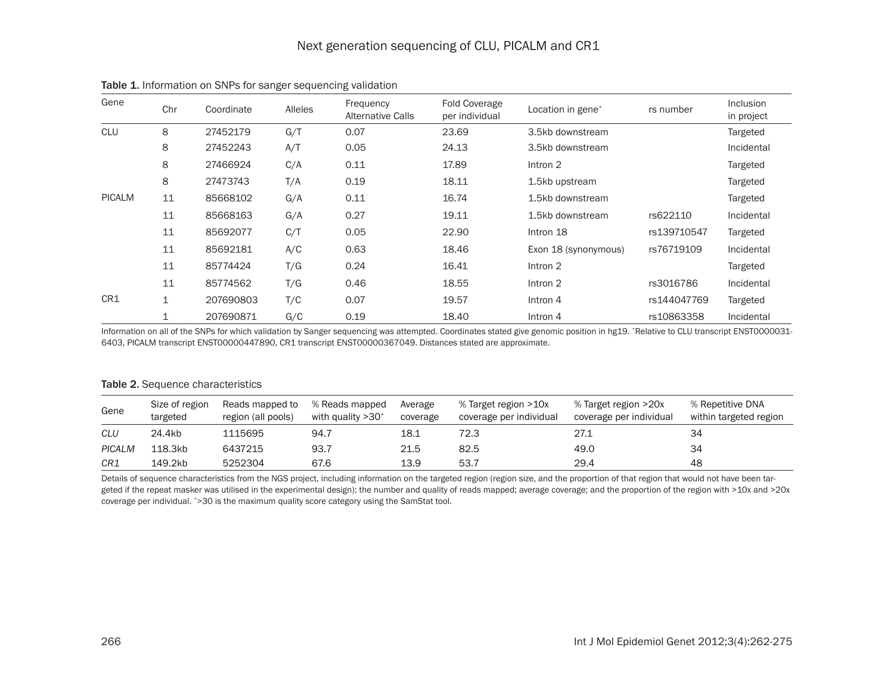| Gene          | Chr          | Coordinate | Alleles | Frequency<br><b>Alternative Calls</b> | Fold Coverage<br>per individual | Location in gene <sup>*</sup> | rs number   | Inclusion<br>in project |
|---------------|--------------|------------|---------|---------------------------------------|---------------------------------|-------------------------------|-------------|-------------------------|
| <b>CLU</b>    | 8            | 27452179   | G/T     | 0.07                                  | 23.69                           | 3.5kb downstream              |             | Targeted                |
|               | 8            | 27452243   | A/T     | 0.05                                  | 24.13                           | 3.5kb downstream              |             | Incidental              |
|               | 8            | 27466924   | C/A     | 0.11                                  | 17.89                           | Intron 2                      |             | Targeted                |
|               | 8            | 27473743   | T/A     | 0.19                                  | 18.11                           | 1.5kb upstream                |             | Targeted                |
| <b>PICALM</b> | 11           | 85668102   | G/A     | 0.11                                  | 16.74                           | 1.5kb downstream              |             | Targeted                |
|               | 11           | 85668163   | G/A     | 0.27                                  | 19.11                           | 1.5kb downstream              | rs622110    | Incidental              |
|               | 11           | 85692077   | C/T     | 0.05                                  | 22.90                           | Intron 18                     | rs139710547 | Targeted                |
|               | 11           | 85692181   | A/C     | 0.63                                  | 18.46                           | Exon 18 (synonymous)          | rs76719109  | Incidental              |
|               | 11           | 85774424   | T/G     | 0.24                                  | 16.41                           | Intron 2                      |             | Targeted                |
|               | 11           | 85774562   | T/G     | 0.46                                  | 18.55                           | Intron 2                      | rs3016786   | Incidental              |
| CR1           | $\mathbf{1}$ | 207690803  | T/C     | 0.07                                  | 19.57                           | Intron 4                      | rs144047769 | Targeted                |
|               | $\mathbf{1}$ | 207690871  | G/C     | 0.19                                  | 18.40                           | Intron 4                      | rs10863358  | Incidental              |

Table 1. Information on SNPs for sanger sequencing validation

Information on all of the SNPs for which validation by Sanger sequencing was attempted. Coordinates stated give genomic position in hg19. \*Relative to CLU transcript ENST0000031-6403, PICALM transcript ENST00000447890, CR1 transcript ENST00000367049. Distances stated are approximate.

#### Table 2. Sequence characteristics

| Gene   | Size of region<br>targeted | Reads mapped to<br>region (all pools) | % Reads mapped<br>with quality $>30^*$ | Average<br>coverage | % Target region >10x<br>coverage per individual | % Target region >20x<br>coverage per individual | % Repetitive DNA<br>within targeted region |
|--------|----------------------------|---------------------------------------|----------------------------------------|---------------------|-------------------------------------------------|-------------------------------------------------|--------------------------------------------|
| CLU    | 24.4kb                     | 1115695                               | 94.7                                   | 18.1                | 72.3                                            | 27.1                                            | 34                                         |
| PICALM | 118.3kb                    | 6437215                               | 93.7                                   | 21.5                | 82.5                                            | 49.0                                            | 34                                         |
| CR1    | 149.2kb                    | 5252304                               | 67.6                                   | 13.9                | 53.7                                            | 29.4                                            | 48                                         |

Details of sequence characteristics from the NGS project, including information on the targeted region (region size, and the proportion of that region that would not have been targeted if the repeat masker was utilised in the experimental design); the number and quality of reads mapped; average coverage; and the proportion of the region with >10x and >20x coverage per individual. \*>30 is the maximum quality score category using the SamStat tool.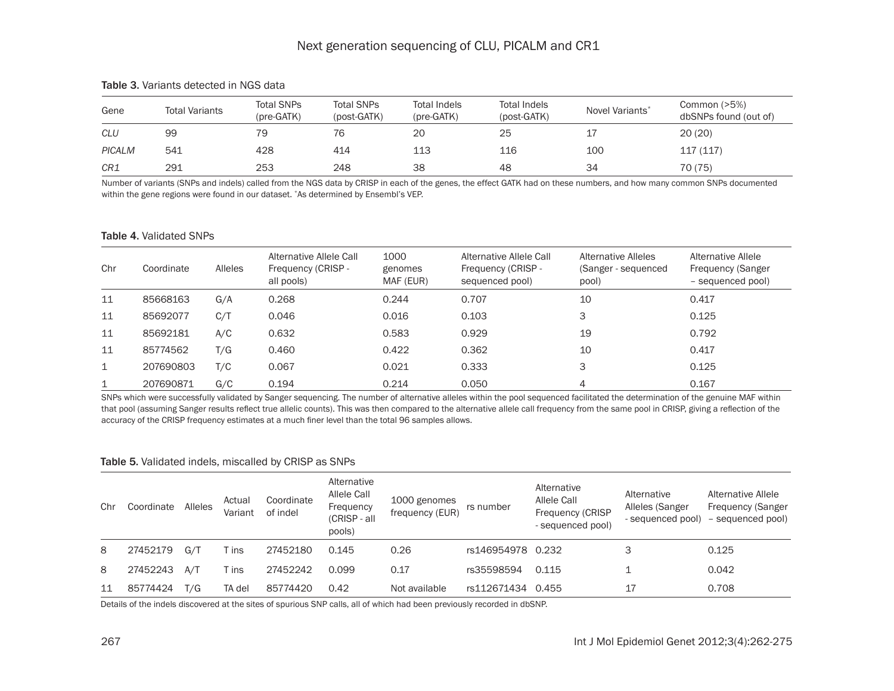#### Table 3. Variants detected in NGS data

| Gene       | <b>Total Variants</b> | <b>Total SNPs</b><br>$(pre-GATK)$ | <b>Total SNPs</b><br>(post-GATK) | Total Indels<br>$(pre-GATK)$ | Total Indels<br>(post-GATK) | Novel Variants* | Common $(>5%)$<br>dbSNPs found (out of) |
|------------|-----------------------|-----------------------------------|----------------------------------|------------------------------|-----------------------------|-----------------|-----------------------------------------|
| <b>CLU</b> | 99                    | 79                                | 76                               | 20                           | 25                          |                 | 20(20)                                  |
| PICALM     | 541                   | 428                               | 414                              | 113                          | 116                         | 100             | 117 (117)                               |
| CR1        | 291                   | 253                               | 248                              | 38                           | 48                          | 34              | 70 (75)                                 |

Number of variants (SNPs and indels) called from the NGS data by CRISP in each of the genes, the effect GATK had on these numbers, and how many common SNPs documented within the gene regions were found in our dataset. \*As determined by Ensembl's VEP.

#### Table 4. Validated SNPs

| Chr | Coordinate | Alleles | Alternative Allele Call<br>Frequency (CRISP -<br>all pools) | 1000<br>genomes<br>MAF (EUR) | Alternative Allele Call<br>Frequency (CRISP -<br>sequenced pool) | Alternative Alleles<br>(Sanger - sequenced<br>pool) | Alternative Allele<br><b>Frequency (Sanger</b><br>- sequenced pool) |
|-----|------------|---------|-------------------------------------------------------------|------------------------------|------------------------------------------------------------------|-----------------------------------------------------|---------------------------------------------------------------------|
| 11  | 85668163   | G/A     | 0.268                                                       | 0.244                        | 0.707                                                            | 10                                                  | 0.417                                                               |
| 11  | 85692077   | C/T     | 0.046                                                       | 0.016                        | 0.103                                                            | 3                                                   | 0.125                                                               |
| 11  | 85692181   | A/C     | 0.632                                                       | 0.583                        | 0.929                                                            | 19                                                  | 0.792                                                               |
| 11  | 85774562   | T/G     | 0.460                                                       | 0.422                        | 0.362                                                            | 10                                                  | 0.417                                                               |
| 1   | 207690803  | T/C     | 0.067                                                       | 0.021                        | 0.333                                                            | 3                                                   | 0.125                                                               |
| 1   | 207690871  | G/C     | 0.194                                                       | 0.214                        | 0.050                                                            | 4                                                   | 0.167                                                               |

SNPs which were successfully validated by Sanger sequencing. The number of alternative alleles within the pool sequenced facilitated the determination of the genuine MAF within that pool (assuming Sanger results reflect true allelic counts). This was then compared to the alternative allele call frequency from the same pool in CRISP, giving a reflection of the accuracy of the CRISP frequency estimates at a much finer level than the total 96 samples allows.

#### Table 5. Validated indels, miscalled by CRISP as SNPs

| Chr | Coordinate | Alleles | Actual<br>Variant | Coordinate<br>of indel | Alternative<br>Allele Call<br>Frequency<br>(CRISP - all<br>pools) | 1000 genomes<br>frequency (EUR) | rs number         | Alternative<br>Allele Call<br>Frequency (CRISP<br>- sequenced pool) | Alternative<br>Alleles (Sanger<br>- sequenced pool) | Alternative Allele<br><b>Frequency (Sanger</b><br>- sequenced pool) |
|-----|------------|---------|-------------------|------------------------|-------------------------------------------------------------------|---------------------------------|-------------------|---------------------------------------------------------------------|-----------------------------------------------------|---------------------------------------------------------------------|
| 8   | 27452179   | G/T     | ins -             | 27452180               | 0.145                                                             | 0.26                            | rs146954978 0.232 |                                                                     |                                                     | 0.125                                                               |
| 8   | 27452243   | A/T     | Г ins             | 27452242               | 0.099                                                             | 0.17                            | rs35598594        | 0.115                                                               |                                                     | 0.042                                                               |
| 11  | 85774424   | T/G     | TA del            | 85774420               | 0.42                                                              | Not available                   | rs112671434       | 0.455                                                               |                                                     | 0.708                                                               |

Details of the indels discovered at the sites of spurious SNP calls, all of which had been previously recorded in dbSNP.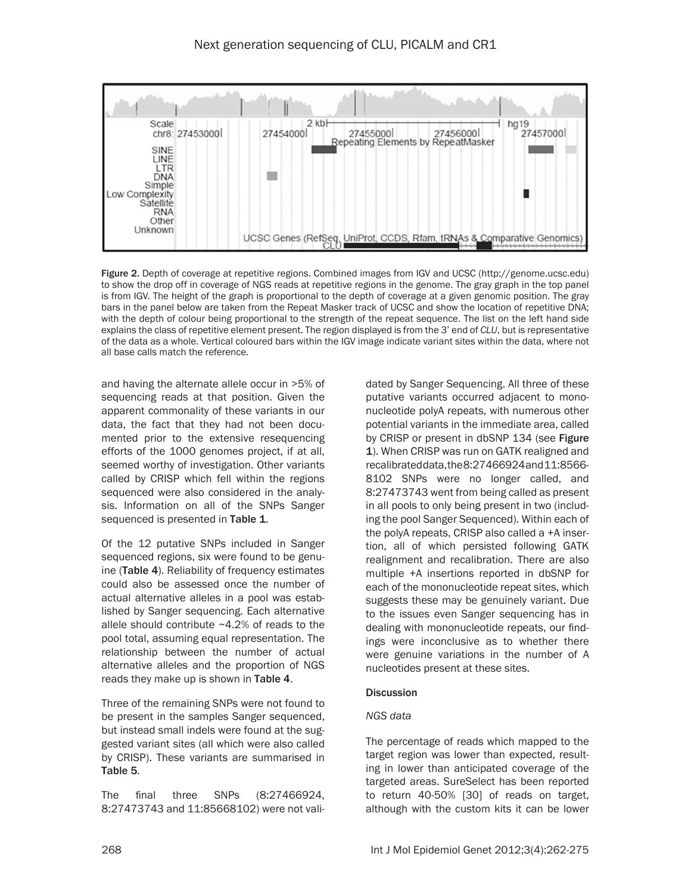

Figure 2. Depth of coverage at repetitive regions. Combined images from IGV and UCSC (http://genome.ucsc.edu) to show the drop off in coverage of NGS reads at repetitive regions in the genome. The gray graph in the top panel is from IGV. The height of the graph is proportional to the depth of coverage at a given genomic position. The gray bars in the panel below are taken from the Repeat Masker track of UCSC and show the location of repetitive DNA; with the depth of colour being proportional to the strength of the repeat sequence. The list on the left hand side explains the class of repetitive element present. The region displayed is from the 3' end of *CLU*, but is representative of the data as a whole. Vertical coloured bars within the IGV image indicate variant sites within the data, where not all base calls match the reference.

and having the alternate allele occur in >5% of sequencing reads at that position. Given the apparent commonality of these variants in our data, the fact that they had not been documented prior to the extensive resequencing efforts of the 1000 genomes project, if at all, seemed worthy of investigation. Other variants called by CRISP which fell within the regions sequenced were also considered in the analysis. Information on all of the SNPs Sanger sequenced is presented in Table 1.

Of the 12 putative SNPs included in Sanger sequenced regions, six were found to be genuine (Table 4). Reliability of frequency estimates could also be assessed once the number of actual alternative alleles in a pool was established by Sanger sequencing. Each alternative allele should contribute ~4.2% of reads to the pool total, assuming equal representation. The relationship between the number of actual alternative alleles and the proportion of NGS reads they make up is shown in Table 4.

Three of the remaining SNPs were not found to be present in the samples Sanger sequenced, but instead small indels were found at the suggested variant sites (all which were also called by CRISP). These variants are summarised in Table 5.

The final three SNPs (8:27466924, 8:27473743 and 11:85668102) were not validated by Sanger Sequencing. All three of these putative variants occurred adjacent to mononucleotide polyA repeats, with numerous other potential variants in the immediate area, called by CRISP or present in dbSNP 134 (see Figure 1). When CRISP was run on GATK realigned and recalibrated data, the 8:27466924 and 11:8566- 8102 SNPs were no longer called, and 8:27473743 went from being called as present in all pools to only being present in two (including the pool Sanger Sequenced). Within each of the polyA repeats, CRISP also called a +A insertion, all of which persisted following GATK realignment and recalibration. There are also multiple +A insertions reported in dbSNP for each of the mononucleotide repeat sites, which suggests these may be genuinely variant. Due to the issues even Sanger sequencing has in dealing with mononucleotide repeats, our findings were inconclusive as to whether there were genuine variations in the number of A nucleotides present at these sites.

# **Discussion**

# *NGS data*

The percentage of reads which mapped to the target region was lower than expected, resulting in lower than anticipated coverage of the targeted areas. SureSelect has been reported to return 40-50% [30] of reads on target, although with the custom kits it can be lower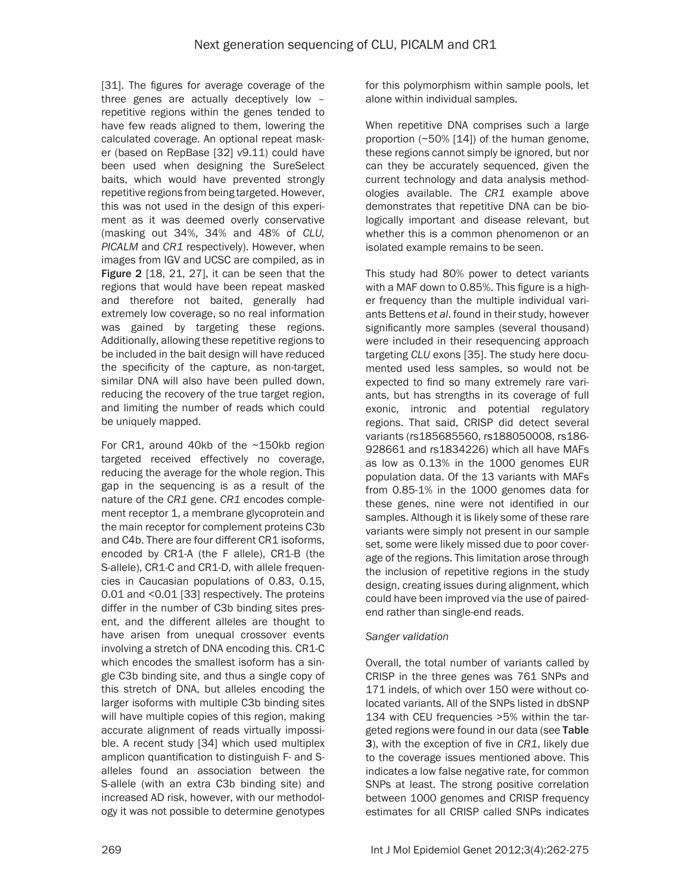[31]. The figures for average coverage of the three genes are actually deceptively low – repetitive regions within the genes tended to have few reads aligned to them, lowering the calculated coverage. An optional repeat masker (based on RepBase [32] v9.11) could have been used when designing the SureSelect baits, which would have prevented strongly repetitive regions from being targeted. However, this was not used in the design of this experiment as it was deemed overly conservative (masking out 34%, 34% and 48% of *CLU, PICALM* and *CR1* respectively). However, when images from IGV and UCSC are compiled, as in Figure 2 [18, 21, 27], it can be seen that the regions that would have been repeat masked and therefore not baited, generally had extremely low coverage, so no real information was gained by targeting these regions. Additionally, allowing these repetitive regions to be included in the bait design will have reduced the specificity of the capture, as non-target, similar DNA will also have been pulled down, reducing the recovery of the true target region, and limiting the number of reads which could be uniquely mapped.

For CR1, around 40kb of the ~150kb region targeted received effectively no coverage, reducing the average for the whole region. This gap in the sequencing is as a result of the nature of the *CR1* gene. *CR1* encodes complement receptor 1, a membrane glycoprotein and the main receptor for complement proteins C3b and C4b. There are four different CR1 isoforms, encoded by CR1-A (the F allele), CR1-B (the S-allele), CR1-C and CR1-D, with allele frequencies in Caucasian populations of 0.83, 0.15, 0.01 and <0.01 [33] respectively. The proteins differ in the number of C3b binding sites present, and the different alleles are thought to have arisen from unequal crossover events involving a stretch of DNA encoding this. CR1-C which encodes the smallest isoform has a single C3b binding site, and thus a single copy of this stretch of DNA, but alleles encoding the larger isoforms with multiple C3b binding sites will have multiple copies of this region, making accurate alignment of reads virtually impossible. A recent study [34] which used multiplex amplicon quantification to distinguish F- and Salleles found an association between the S-allele (with an extra C3b binding site) and increased AD risk, however, with our methodology it was not possible to determine genotypes

for this polymorphism within sample pools, let alone within individual samples.

When repetitive DNA comprises such a large proportion (~50% [14]) of the human genome, these regions cannot simply be ignored, but nor can they be accurately sequenced, given the current technology and data analysis methodologies available. The *CR1* example above demonstrates that repetitive DNA can be biologically important and disease relevant, but whether this is a common phenomenon or an isolated example remains to be seen.

This study had 80% power to detect variants with a MAF down to 0.85%. This figure is a higher frequency than the multiple individual variants Bettens *et al*. found in their study, however significantly more samples (several thousand) were included in their resequencing approach targeting *CLU* exons [35]. The study here documented used less samples, so would not be expected to find so many extremely rare variants, but has strengths in its coverage of full exonic, intronic and potential regulatory regions. That said, CRISP did detect several variants (rs185685560, rs188050008, rs186- 928661 and rs1834226) which all have MAFs as low as 0.13% in the 1000 genomes EUR population data. Of the 13 variants with MAFs from 0.85-1% in the 1000 genomes data for these genes, nine were not identified in our samples. Although it is likely some of these rare variants were simply not present in our sample set, some were likely missed due to poor coverage of the regions. This limitation arose through the inclusion of repetitive regions in the study design, creating issues during alignment, which could have been improved via the use of pairedend rather than single-end reads.

# *Sanger validation*

Overall, the total number of variants called by CRISP in the three genes was 761 SNPs and 171 indels, of which over 150 were without colocated variants. All of the SNPs listed in dbSNP 134 with CEU frequencies >5% within the targeted regions were found in our data (see Table 3), with the exception of five in *CR1*, likely due to the coverage issues mentioned above. This indicates a low false negative rate, for common SNPs at least. The strong positive correlation between 1000 genomes and CRISP frequency estimates for all CRISP called SNPs indicates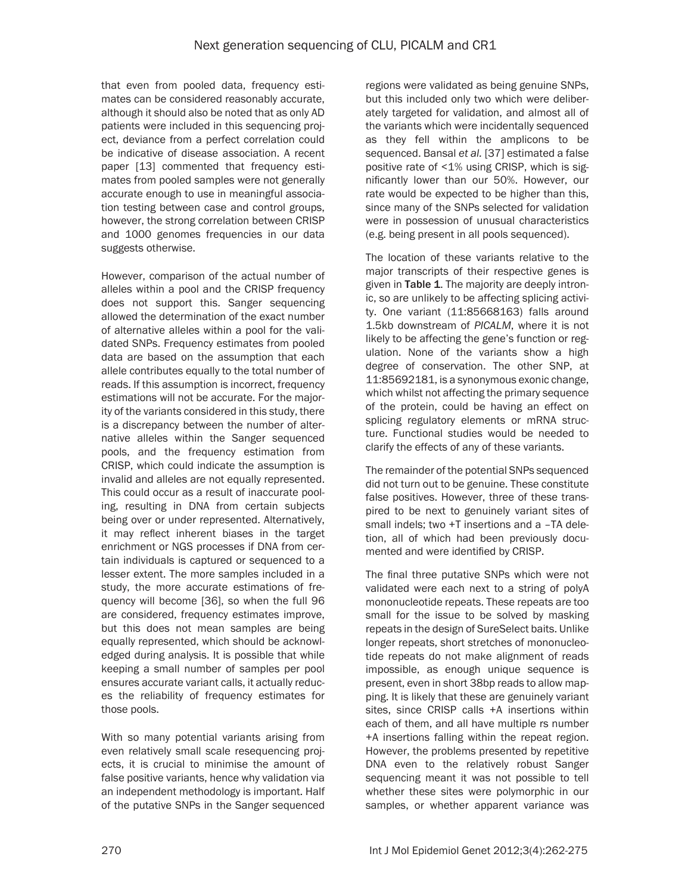that even from pooled data, frequency estimates can be considered reasonably accurate, although it should also be noted that as only AD patients were included in this sequencing project, deviance from a perfect correlation could be indicative of disease association. A recent paper [13] commented that frequency estimates from pooled samples were not generally accurate enough to use in meaningful association testing between case and control groups, however, the strong correlation between CRISP and 1000 genomes frequencies in our data suggests otherwise.

However, comparison of the actual number of alleles within a pool and the CRISP frequency does not support this. Sanger sequencing allowed the determination of the exact number of alternative alleles within a pool for the validated SNPs. Frequency estimates from pooled data are based on the assumption that each allele contributes equally to the total number of reads. If this assumption is incorrect, frequency estimations will not be accurate. For the majority of the variants considered in this study, there is a discrepancy between the number of alternative alleles within the Sanger sequenced pools, and the frequency estimation from CRISP, which could indicate the assumption is invalid and alleles are not equally represented. This could occur as a result of inaccurate pooling, resulting in DNA from certain subjects being over or under represented. Alternatively, it may reflect inherent biases in the target enrichment or NGS processes if DNA from certain individuals is captured or sequenced to a lesser extent. The more samples included in a study, the more accurate estimations of frequency will become [36], so when the full 96 are considered, frequency estimates improve, but this does not mean samples are being equally represented, which should be acknowledged during analysis. It is possible that while keeping a small number of samples per pool ensures accurate variant calls, it actually reduces the reliability of frequency estimates for those pools.

With so many potential variants arising from even relatively small scale resequencing projects, it is crucial to minimise the amount of false positive variants, hence why validation via an independent methodology is important. Half of the putative SNPs in the Sanger sequenced

regions were validated as being genuine SNPs, but this included only two which were deliberately targeted for validation, and almost all of the variants which were incidentally sequenced as they fell within the amplicons to be sequenced. Bansal *et al.* [37] estimated a false positive rate of <1% using CRISP, which is significantly lower than our 50%. However, our rate would be expected to be higher than this, since many of the SNPs selected for validation were in possession of unusual characteristics (e.g. being present in all pools sequenced).

The location of these variants relative to the major transcripts of their respective genes is given in Table 1. The majority are deeply intronic, so are unlikely to be affecting splicing activity. One variant (11:85668163) falls around 1.5kb downstream of *PICALM*, where it is not likely to be affecting the gene's function or regulation. None of the variants show a high degree of conservation. The other SNP, at 11:85692181, is a synonymous exonic change, which whilst not affecting the primary sequence of the protein, could be having an effect on splicing regulatory elements or mRNA structure. Functional studies would be needed to clarify the effects of any of these variants.

The remainder of the potential SNPs sequenced did not turn out to be genuine. These constitute false positives. However, three of these transpired to be next to genuinely variant sites of small indels; two +T insertions and a –TA deletion, all of which had been previously documented and were identified by CRISP.

The final three putative SNPs which were not validated were each next to a string of polyA mononucleotide repeats. These repeats are too small for the issue to be solved by masking repeats in the design of SureSelect baits. Unlike longer repeats, short stretches of mononucleotide repeats do not make alignment of reads impossible, as enough unique sequence is present, even in short 38bp reads to allow mapping. It is likely that these are genuinely variant sites, since CRISP calls +A insertions within each of them, and all have multiple rs number +A insertions falling within the repeat region. However, the problems presented by repetitive DNA even to the relatively robust Sanger sequencing meant it was not possible to tell whether these sites were polymorphic in our samples, or whether apparent variance was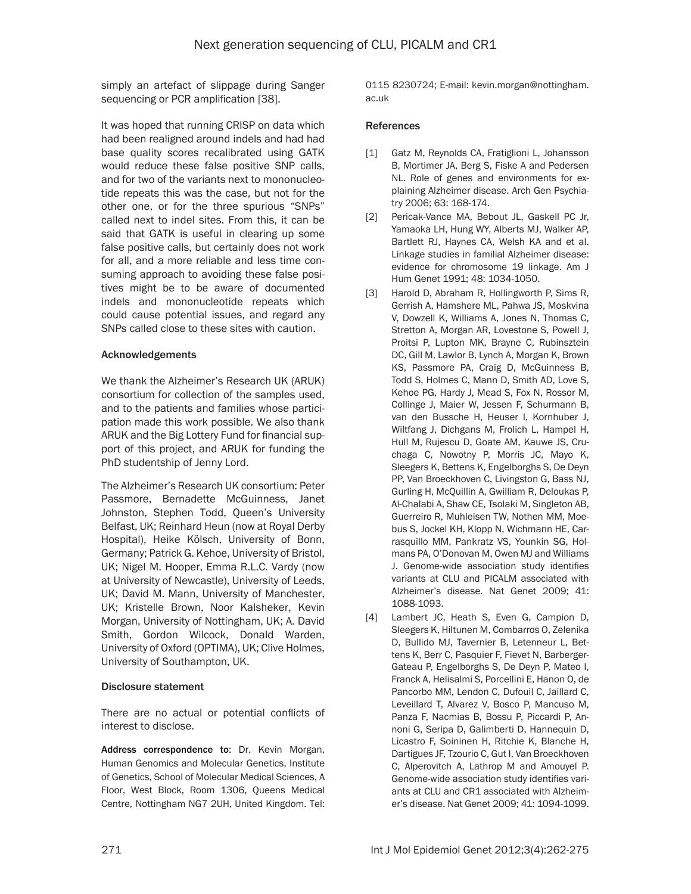simply an artefact of slippage during Sanger sequencing or PCR amplification [38].

It was hoped that running CRISP on data which had been realigned around indels and had had base quality scores recalibrated using GATK would reduce these false positive SNP calls, and for two of the variants next to mononucleotide repeats this was the case, but not for the other one, or for the three spurious "SNPs" called next to indel sites. From this, it can be said that GATK is useful in clearing up some false positive calls, but certainly does not work for all, and a more reliable and less time consuming approach to avoiding these false positives might be to be aware of documented indels and mononucleotide repeats which could cause potential issues, and regard any SNPs called close to these sites with caution.

## Acknowledgements

We thank the Alzheimer's Research UK (ARUK) consortium for collection of the samples used, and to the patients and families whose participation made this work possible. We also thank ARUK and the Big Lottery Fund for financial support of this project, and ARUK for funding the PhD studentship of Jenny Lord.

The Alzheimer's Research UK consortium: Peter Passmore, Bernadette McGuinness, Janet Johnston, Stephen Todd, Queen's University Belfast, UK; Reinhard Heun (now at Royal Derby Hospital), Heike Kölsch, University of Bonn, Germany; Patrick G. Kehoe, University of Bristol, UK; Nigel M. Hooper, Emma R.L.C. Vardy (now at University of Newcastle), University of Leeds, UK; David M. Mann, University of Manchester, UK; Kristelle Brown, Noor Kalsheker, Kevin Morgan, University of Nottingham, UK; A. David Smith, Gordon Wilcock, Donald Warden, University of Oxford (OPTIMA), UK; Clive Holmes, University of Southampton, UK.

# Disclosure statement

There are no actual or potential conflicts of interest to disclose.

Address correspondence to: Dr. Kevin Morgan, Human Genomics and Molecular Genetics, Institute of Genetics, School of Molecular Medical Sciences, A Floor, West Block, Room 1306, Queens Medical Centre, Nottingham NG7 2UH, United Kingdom. Tel: 0115 8230724; E-mail: [kevin.morgan@nottingham.](mailto:kevin.morgan@nottingham.ac.uk) [ac.uk](mailto:kevin.morgan@nottingham.ac.uk)

### References

- [1] Gatz M, Reynolds CA, Fratiglioni L, Johansson B, Mortimer JA, Berg S, Fiske A and Pedersen NL. Role of genes and environments for explaining Alzheimer disease. Arch Gen Psychiatry 2006; 63: 168-174.
- [2] Pericak-Vance MA, Bebout JL, Gaskell PC Jr, Yamaoka LH, Hung WY, Alberts MJ, Walker AP, Bartlett RJ, Haynes CA, Welsh KA and et al. Linkage studies in familial Alzheimer disease: evidence for chromosome 19 linkage. Am J Hum Genet 1991; 48: 1034-1050.
- [3] Harold D, Abraham R, Hollingworth P, Sims R, Gerrish A, Hamshere ML, Pahwa JS, Moskvina V, Dowzell K, Williams A, Jones N, Thomas C, Stretton A, Morgan AR, Lovestone S, Powell J, Proitsi P, Lupton MK, Brayne C, Rubinsztein DC, Gill M, Lawlor B, Lynch A, Morgan K, Brown KS, Passmore PA, Craig D, McGuinness B, Todd S, Holmes C, Mann D, Smith AD, Love S, Kehoe PG, Hardy J, Mead S, Fox N, Rossor M, Collinge J, Maier W, Jessen F, Schurmann B, van den Bussche H, Heuser I, Kornhuber J, Wiltfang J, Dichgans M, Frolich L, Hampel H, Hull M, Rujescu D, Goate AM, Kauwe JS, Cruchaga C, Nowotny P, Morris JC, Mayo K, Sleegers K, Bettens K, Engelborghs S, De Deyn PP, Van Broeckhoven C, Livingston G, Bass NJ, Gurling H, McQuillin A, Gwilliam R, Deloukas P, Al-Chalabi A, Shaw CE, Tsolaki M, Singleton AB, Guerreiro R, Muhleisen TW, Nothen MM, Moebus S, Jockel KH, Klopp N, Wichmann HE, Carrasquillo MM, Pankratz VS, Younkin SG, Holmans PA, O'Donovan M, Owen MJ and Williams J. Genome-wide association study identifies variants at CLU and PICALM associated with Alzheimer's disease. Nat Genet 2009; 41: 1088-1093.
- [4] Lambert JC, Heath S, Even G, Campion D, Sleegers K, Hiltunen M, Combarros O, Zelenika D, Bullido MJ, Tavernier B, Letenneur L, Bettens K, Berr C, Pasquier F, Fievet N, Barberger-Gateau P, Engelborghs S, De Deyn P, Mateo I, Franck A, Helisalmi S, Porcellini E, Hanon O, de Pancorbo MM, Lendon C, Dufouil C, Jaillard C, Leveillard T, Alvarez V, Bosco P, Mancuso M, Panza F, Nacmias B, Bossu P, Piccardi P, Annoni G, Seripa D, Galimberti D, Hannequin D, Licastro F, Soininen H, Ritchie K, Blanche H, Dartigues JF, Tzourio C, Gut I, Van Broeckhoven C, Alperovitch A, Lathrop M and Amouyel P. Genome-wide association study identifies variants at CLU and CR1 associated with Alzheimer's disease. Nat Genet 2009; 41: 1094-1099.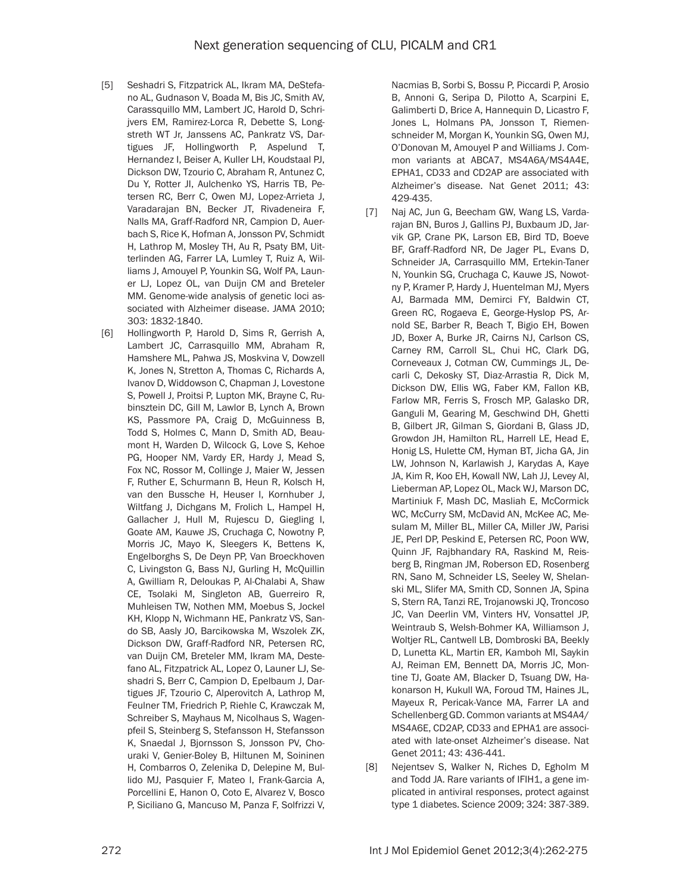- [5] Seshadri S, Fitzpatrick AL, Ikram MA, DeStefano AL, Gudnason V, Boada M, Bis JC, Smith AV, Carassquillo MM, Lambert JC, Harold D, Schrijvers EM, Ramirez-Lorca R, Debette S, Longstreth WT Jr, Janssens AC, Pankratz VS, Dartigues JF, Hollingworth P, Aspelund T, Hernandez I, Beiser A, Kuller LH, Koudstaal PJ, Dickson DW, Tzourio C, Abraham R, Antunez C, Du Y, Rotter JI, Aulchenko YS, Harris TB, Petersen RC, Berr C, Owen MJ, Lopez-Arrieta J, Varadarajan BN, Becker JT, Rivadeneira F, Nalls MA, Graff-Radford NR, Campion D, Auerbach S, Rice K, Hofman A, Jonsson PV, Schmidt H, Lathrop M, Mosley TH, Au R, Psaty BM, Uitterlinden AG, Farrer LA, Lumley T, Ruiz A, Williams J, Amouyel P, Younkin SG, Wolf PA, Launer LJ, Lopez OL, van Duijn CM and Breteler MM. Genome-wide analysis of genetic loci associated with Alzheimer disease. JAMA 2010; 303: 1832-1840.
- [6] Hollingworth P, Harold D, Sims R, Gerrish A, Lambert JC, Carrasquillo MM, Abraham R, Hamshere ML, Pahwa JS, Moskvina V, Dowzell K, Jones N, Stretton A, Thomas C, Richards A, Ivanov D, Widdowson C, Chapman J, Lovestone S, Powell J, Proitsi P, Lupton MK, Brayne C, Rubinsztein DC, Gill M, Lawlor B, Lynch A, Brown KS, Passmore PA, Craig D, McGuinness B, Todd S, Holmes C, Mann D, Smith AD, Beaumont H, Warden D, Wilcock G, Love S, Kehoe PG, Hooper NM, Vardy ER, Hardy J, Mead S, Fox NC, Rossor M, Collinge J, Maier W, Jessen F, Ruther E, Schurmann B, Heun R, Kolsch H, van den Bussche H, Heuser I, Kornhuber J, Wiltfang J, Dichgans M, Frolich L, Hampel H, Gallacher J, Hull M, Rujescu D, Giegling I, Goate AM, Kauwe JS, Cruchaga C, Nowotny P, Morris JC, Mayo K, Sleegers K, Bettens K, Engelborghs S, De Deyn PP, Van Broeckhoven C, Livingston G, Bass NJ, Gurling H, McQuillin A, Gwilliam R, Deloukas P, Al-Chalabi A, Shaw CE, Tsolaki M, Singleton AB, Guerreiro R, Muhleisen TW, Nothen MM, Moebus S, Jockel KH, Klopp N, Wichmann HE, Pankratz VS, Sando SB, Aasly JO, Barcikowska M, Wszolek ZK, Dickson DW, Graff-Radford NR, Petersen RC, van Duijn CM, Breteler MM, Ikram MA, Destefano AL, Fitzpatrick AL, Lopez O, Launer LJ, Seshadri S, Berr C, Campion D, Epelbaum J, Dartigues JF, Tzourio C, Alperovitch A, Lathrop M, Feulner TM, Friedrich P, Riehle C, Krawczak M, Schreiber S, Mayhaus M, Nicolhaus S, Wagenpfeil S, Steinberg S, Stefansson H, Stefansson K, Snaedal J, Bjornsson S, Jonsson PV, Chouraki V, Genier-Boley B, Hiltunen M, Soininen H, Combarros O, Zelenika D, Delepine M, Bullido MJ, Pasquier F, Mateo I, Frank-Garcia A, Porcellini E, Hanon O, Coto E, Alvarez V, Bosco P, Siciliano G, Mancuso M, Panza F, Solfrizzi V,

Nacmias B, Sorbi S, Bossu P, Piccardi P, Arosio B, Annoni G, Seripa D, Pilotto A, Scarpini E, Galimberti D, Brice A, Hannequin D, Licastro F, Jones L, Holmans PA, Jonsson T, Riemenschneider M, Morgan K, Younkin SG, Owen MJ, O'Donovan M, Amouyel P and Williams J. Common variants at ABCA7, MS4A6A/MS4A4E, EPHA1, CD33 and CD2AP are associated with Alzheimer's disease. Nat Genet 2011; 43: 429-435.

- [7] Naj AC, Jun G, Beecham GW, Wang LS, Vardarajan BN, Buros J, Gallins PJ, Buxbaum JD, Jarvik GP, Crane PK, Larson EB, Bird TD, Boeve BF, Graff-Radford NR, De Jager PL, Evans D, Schneider JA, Carrasquillo MM, Ertekin-Taner N, Younkin SG, Cruchaga C, Kauwe JS, Nowotny P, Kramer P, Hardy J, Huentelman MJ, Myers AJ, Barmada MM, Demirci FY, Baldwin CT, Green RC, Rogaeva E, George-Hyslop PS, Arnold SE, Barber R, Beach T, Bigio EH, Bowen JD, Boxer A, Burke JR, Cairns NJ, Carlson CS, Carney RM, Carroll SL, Chui HC, Clark DG, Corneveaux J, Cotman CW, Cummings JL, Decarli C, Dekosky ST, Diaz-Arrastia R, Dick M, Dickson DW, Ellis WG, Faber KM, Fallon KB, Farlow MR, Ferris S, Frosch MP, Galasko DR, Ganguli M, Gearing M, Geschwind DH, Ghetti B, Gilbert JR, Gilman S, Giordani B, Glass JD, Growdon JH, Hamilton RL, Harrell LE, Head E, Honig LS, Hulette CM, Hyman BT, Jicha GA, Jin LW, Johnson N, Karlawish J, Karydas A, Kaye JA, Kim R, Koo EH, Kowall NW, Lah JJ, Levey AI, Lieberman AP, Lopez OL, Mack WJ, Marson DC, Martiniuk F, Mash DC, Masliah E, McCormick WC, McCurry SM, McDavid AN, McKee AC, Mesulam M, Miller BL, Miller CA, Miller JW, Parisi JE, Perl DP, Peskind E, Petersen RC, Poon WW, Quinn JF, Rajbhandary RA, Raskind M, Reisberg B, Ringman JM, Roberson ED, Rosenberg RN, Sano M, Schneider LS, Seeley W, Shelanski ML, Slifer MA, Smith CD, Sonnen JA, Spina S, Stern RA, Tanzi RE, Trojanowski JQ, Troncoso JC, Van Deerlin VM, Vinters HV, Vonsattel JP, Weintraub S, Welsh-Bohmer KA, Williamson J, Woltjer RL, Cantwell LB, Dombroski BA, Beekly D, Lunetta KL, Martin ER, Kamboh MI, Saykin AJ, Reiman EM, Bennett DA, Morris JC, Montine TJ, Goate AM, Blacker D, Tsuang DW, Hakonarson H, Kukull WA, Foroud TM, Haines JL, Mayeux R, Pericak-Vance MA, Farrer LA and Schellenberg GD. Common variants at MS4A4/ MS4A6E, CD2AP, CD33 and EPHA1 are associated with late-onset Alzheimer's disease. Nat Genet 2011; 43: 436-441.
- [8] Nejentsev S, Walker N, Riches D, Egholm M and Todd JA. Rare variants of IFIH1, a gene implicated in antiviral responses, protect against type 1 diabetes. Science 2009; 324: 387-389.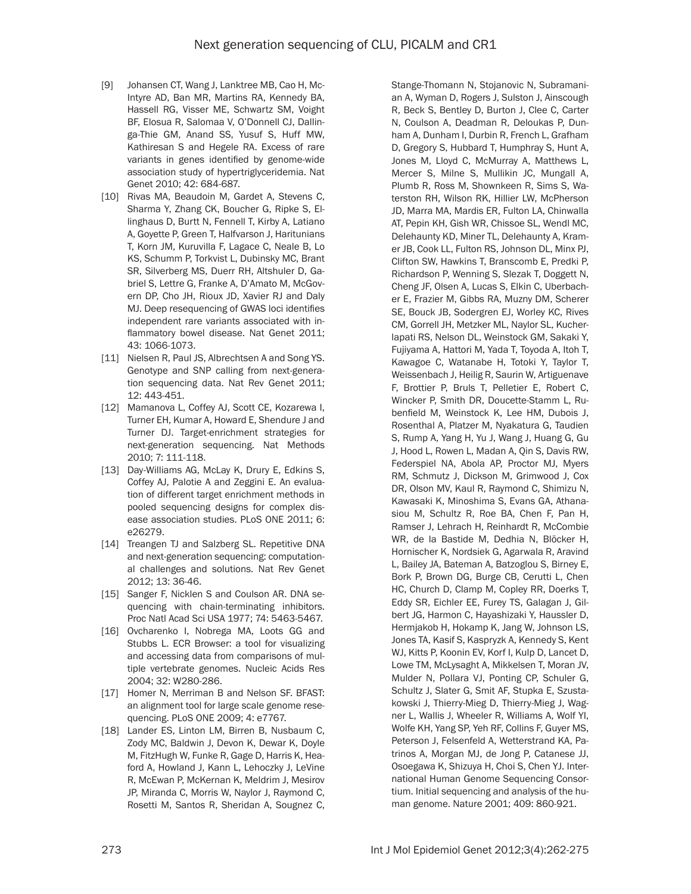- [9] Johansen CT, Wang J, Lanktree MB, Cao H, Mc-Intyre AD, Ban MR, Martins RA, Kennedy BA, Hassell RG, Visser ME, Schwartz SM, Voight BF, Elosua R, Salomaa V, O'Donnell CJ, Dallinga-Thie GM, Anand SS, Yusuf S, Huff MW, Kathiresan S and Hegele RA. Excess of rare variants in genes identified by genome-wide association study of hypertriglyceridemia. Nat Genet 2010; 42: 684-687.
- [10] Rivas MA, Beaudoin M, Gardet A, Stevens C, Sharma Y, Zhang CK, Boucher G, Ripke S, Ellinghaus D, Burtt N, Fennell T, Kirby A, Latiano A, Goyette P, Green T, Halfvarson J, Haritunians T, Korn JM, Kuruvilla F, Lagace C, Neale B, Lo KS, Schumm P, Torkvist L, Dubinsky MC, Brant SR, Silverberg MS, Duerr RH, Altshuler D, Gabriel S, Lettre G, Franke A, D'Amato M, McGovern DP, Cho JH, Rioux JD, Xavier RJ and Daly MJ. Deep resequencing of GWAS loci identifies independent rare variants associated with inflammatory bowel disease. Nat Genet 2011; 43: 1066-1073.
- [11] Nielsen R, Paul JS, Albrechtsen A and Song YS. Genotype and SNP calling from next-generation sequencing data. Nat Rev Genet 2011; 12: 443-451.
- [12] Mamanova L, Coffey AJ, Scott CE, Kozarewa I, Turner EH, Kumar A, Howard E, Shendure J and Turner DJ. Target-enrichment strategies for next-generation sequencing. Nat Methods 2010; 7: 111-118.
- [13] Day-Williams AG, McLay K, Drury E, Edkins S, Coffey AJ, Palotie A and Zeggini E. An evaluation of different target enrichment methods in pooled sequencing designs for complex disease association studies. PLoS ONE 2011; 6: e26279.
- [14] Treangen TJ and Salzberg SL. Repetitive DNA and next-generation sequencing: computational challenges and solutions. Nat Rev Genet 2012; 13: 36-46.
- [15] Sanger F, Nicklen S and Coulson AR. DNA sequencing with chain-terminating inhibitors. Proc Natl Acad Sci USA 1977; 74: 5463-5467.
- [16] Ovcharenko I, Nobrega MA, Loots GG and Stubbs L. ECR Browser: a tool for visualizing and accessing data from comparisons of multiple vertebrate genomes. Nucleic Acids Res 2004; 32: W280-286.
- [17] Homer N, Merriman B and Nelson SF. BFAST: an alignment tool for large scale genome resequencing. PLoS ONE 2009; 4: e7767.
- [18] Lander ES, Linton LM, Birren B, Nusbaum C, Zody MC, Baldwin J, Devon K, Dewar K, Doyle M, FitzHugh W, Funke R, Gage D, Harris K, Heaford A, Howland J, Kann L, Lehoczky J, LeVine R, McEwan P, McKernan K, Meldrim J, Mesirov JP, Miranda C, Morris W, Naylor J, Raymond C, Rosetti M, Santos R, Sheridan A, Sougnez C,

Stange-Thomann N, Stojanovic N, Subramanian A, Wyman D, Rogers J, Sulston J, Ainscough R, Beck S, Bentley D, Burton J, Clee C, Carter N, Coulson A, Deadman R, Deloukas P, Dunham A, Dunham I, Durbin R, French L, Grafham D, Gregory S, Hubbard T, Humphray S, Hunt A, Jones M, Lloyd C, McMurray A, Matthews L, Mercer S, Milne S, Mullikin JC, Mungall A, Plumb R, Ross M, Shownkeen R, Sims S, Waterston RH, Wilson RK, Hillier LW, McPherson JD, Marra MA, Mardis ER, Fulton LA, Chinwalla AT, Pepin KH, Gish WR, Chissoe SL, Wendl MC, Delehaunty KD, Miner TL, Delehaunty A, Kramer JB, Cook LL, Fulton RS, Johnson DL, Minx PJ, Clifton SW, Hawkins T, Branscomb E, Predki P, Richardson P, Wenning S, Slezak T, Doggett N, Cheng JF, Olsen A, Lucas S, Elkin C, Uberbacher E, Frazier M, Gibbs RA, Muzny DM, Scherer SE, Bouck JB, Sodergren EJ, Worley KC, Rives CM, Gorrell JH, Metzker ML, Naylor SL, Kucherlapati RS, Nelson DL, Weinstock GM, Sakaki Y, Fujiyama A, Hattori M, Yada T, Toyoda A, Itoh T, Kawagoe C, Watanabe H, Totoki Y, Taylor T, Weissenbach J, Heilig R, Saurin W, Artiguenave F, Brottier P, Bruls T, Pelletier E, Robert C, Wincker P, Smith DR, Doucette-Stamm L, Rubenfield M, Weinstock K, Lee HM, Dubois J, Rosenthal A, Platzer M, Nyakatura G, Taudien S, Rump A, Yang H, Yu J, Wang J, Huang G, Gu J, Hood L, Rowen L, Madan A, Qin S, Davis RW, Federspiel NA, Abola AP, Proctor MJ, Myers RM, Schmutz J, Dickson M, Grimwood J, Cox DR, Olson MV, Kaul R, Raymond C, Shimizu N, Kawasaki K, Minoshima S, Evans GA, Athanasiou M, Schultz R, Roe BA, Chen F, Pan H, Ramser J, Lehrach H, Reinhardt R, McCombie WR, de la Bastide M, Dedhia N, Blöcker H, Hornischer K, Nordsiek G, Agarwala R, Aravind L, Bailey JA, Bateman A, Batzoglou S, Birney E, Bork P, Brown DG, Burge CB, Cerutti L, Chen HC, Church D, Clamp M, Copley RR, Doerks T, Eddy SR, Eichler EE, Furey TS, Galagan J, Gilbert JG, Harmon C, Hayashizaki Y, Haussler D, Hermjakob H, Hokamp K, Jang W, Johnson LS, Jones TA, Kasif S, Kaspryzk A, Kennedy S, Kent WJ, Kitts P, Koonin EV, Korf I, Kulp D, Lancet D, Lowe TM, McLysaght A, Mikkelsen T, Moran JV, Mulder N, Pollara VJ, Ponting CP, Schuler G, Schultz J, Slater G, Smit AF, Stupka E, Szustakowski J, Thierry-Mieg D, Thierry-Mieg J, Wagner L, Wallis J, Wheeler R, Williams A, Wolf YI, Wolfe KH, Yang SP, Yeh RF, Collins F, Guyer MS, Peterson J, Felsenfeld A, Wetterstrand KA, Patrinos A, Morgan MJ, de Jong P, Catanese JJ, Osoegawa K, Shizuya H, Choi S, Chen YJ. International Human Genome Sequencing Consortium. Initial sequencing and analysis of the human genome. Nature 2001; 409: 860-921.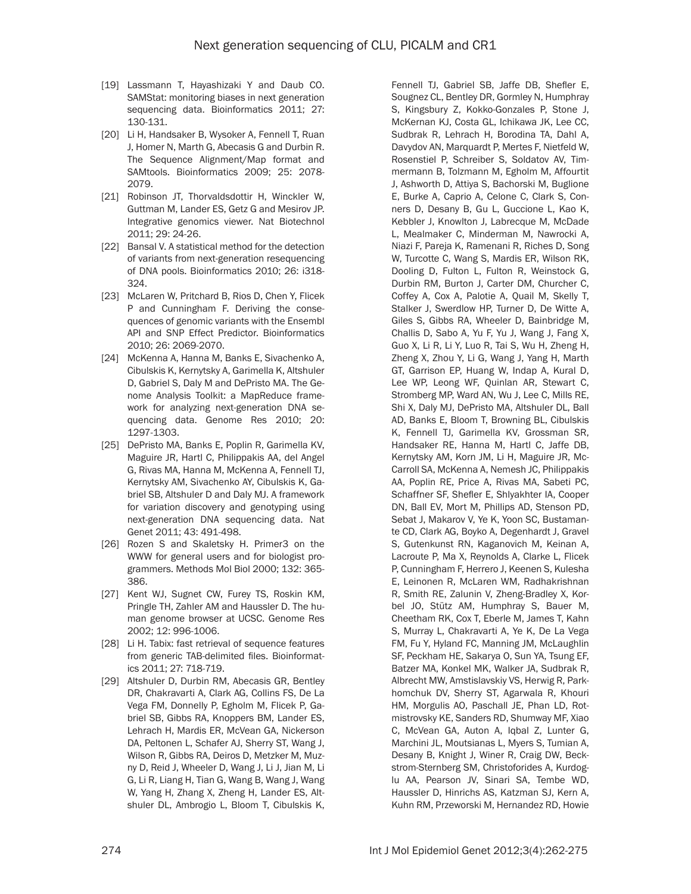- [19] Lassmann T, Hayashizaki Y and Daub CO. SAMStat: monitoring biases in next generation sequencing data. Bioinformatics 2011; 27: 130-131.
- [20] Li H, Handsaker B, Wysoker A, Fennell T, Ruan J, Homer N, Marth G, Abecasis G and Durbin R. The Sequence Alignment/Map format and SAMtools. Bioinformatics 2009; 25: 2078- 2079.
- [21] Robinson JT, Thorvaldsdottir H, Winckler W, Guttman M, Lander ES, Getz G and Mesirov JP. Integrative genomics viewer. Nat Biotechnol 2011; 29: 24-26.
- [22] Bansal V. A statistical method for the detection of variants from next-generation resequencing of DNA pools. Bioinformatics 2010; 26: i318- 324.
- [23] McLaren W, Pritchard B, Rios D, Chen Y, Flicek P and Cunningham F. Deriving the consequences of genomic variants with the Ensembl API and SNP Effect Predictor. Bioinformatics 2010; 26: 2069-2070.
- [24] McKenna A, Hanna M, Banks E, Sivachenko A, Cibulskis K, Kernytsky A, Garimella K, Altshuler D, Gabriel S, Daly M and DePristo MA. The Genome Analysis Toolkit: a MapReduce framework for analyzing next-generation DNA sequencing data. Genome Res 2010; 20: 1297-1303.
- [25] DePristo MA, Banks E, Poplin R, Garimella KV, Maguire JR, Hartl C, Philippakis AA, del Angel G, Rivas MA, Hanna M, McKenna A, Fennell TJ, Kernytsky AM, Sivachenko AY, Cibulskis K, Gabriel SB, Altshuler D and Daly MJ. A framework for variation discovery and genotyping using next-generation DNA sequencing data. Nat Genet 2011; 43: 491-498.
- [26] Rozen S and Skaletsky H. Primer3 on the WWW for general users and for biologist programmers. Methods Mol Biol 2000; 132: 365- 386.
- [27] Kent WJ, Sugnet CW, Furey TS, Roskin KM, Pringle TH, Zahler AM and Haussler D. The human genome browser at UCSC. Genome Res 2002; 12: 996-1006.
- [28] Li H. Tabix: fast retrieval of sequence features from generic TAB-delimited files. Bioinformatics 2011; 27: 718-719.
- [29] Altshuler D, Durbin RM, Abecasis GR, Bentley DR, Chakravarti A, Clark AG, Collins FS, De La Vega FM, Donnelly P, Egholm M, Flicek P, Gabriel SB, Gibbs RA, Knoppers BM, Lander ES, Lehrach H, Mardis ER, McVean GA, Nickerson DA, Peltonen L, Schafer AJ, Sherry ST, Wang J, Wilson R, Gibbs RA, Deiros D, Metzker M, Muzny D, Reid J, Wheeler D, Wang J, Li J, Jian M, Li G, Li R, Liang H, Tian G, Wang B, Wang J, Wang W, Yang H, Zhang X, Zheng H, Lander ES, Altshuler DL, Ambrogio L, Bloom T, Cibulskis K,

Fennell TJ, Gabriel SB, Jaffe DB, Shefler E, Sougnez CL, Bentley DR, Gormley N, Humphray S, Kingsbury Z, Kokko-Gonzales P, Stone J, McKernan KJ, Costa GL, Ichikawa JK, Lee CC, Sudbrak R, Lehrach H, Borodina TA, Dahl A, Davydov AN, Marquardt P, Mertes F, Nietfeld W, Rosenstiel P, Schreiber S, Soldatov AV, Timmermann B, Tolzmann M, Egholm M, Affourtit J, Ashworth D, Attiya S, Bachorski M, Buglione E, Burke A, Caprio A, Celone C, Clark S, Conners D, Desany B, Gu L, Guccione L, Kao K, Kebbler J, Knowlton J, Labrecque M, McDade L, Mealmaker C, Minderman M, Nawrocki A, Niazi F, Pareja K, Ramenani R, Riches D, Song W, Turcotte C, Wang S, Mardis ER, Wilson RK, Dooling D, Fulton L, Fulton R, Weinstock G, Durbin RM, Burton J, Carter DM, Churcher C, Coffey A, Cox A, Palotie A, Quail M, Skelly T, Stalker J, Swerdlow HP, Turner D, De Witte A, Giles S, Gibbs RA, Wheeler D, Bainbridge M, Challis D, Sabo A, Yu F, Yu J, Wang J, Fang X, Guo X, Li R, Li Y, Luo R, Tai S, Wu H, Zheng H, Zheng X, Zhou Y, Li G, Wang J, Yang H, Marth GT, Garrison EP, Huang W, Indap A, Kural D, Lee WP, Leong WF, Quinlan AR, Stewart C, Stromberg MP, Ward AN, Wu J, Lee C, Mills RE, Shi X, Daly MJ, DePristo MA, Altshuler DL, Ball AD, Banks E, Bloom T, Browning BL, Cibulskis K, Fennell TJ, Garimella KV, Grossman SR, Handsaker RE, Hanna M, Hartl C, Jaffe DB, Kernytsky AM, Korn JM, Li H, Maguire JR, Mc-Carroll SA, McKenna A, Nemesh JC, Philippakis AA, Poplin RE, Price A, Rivas MA, Sabeti PC, Schaffner SF, Shefler E, Shlyakhter IA, Cooper DN, Ball EV, Mort M, Phillips AD, Stenson PD, Sebat J, Makarov V, Ye K, Yoon SC, Bustamante CD, Clark AG, Boyko A, Degenhardt J, Gravel S, Gutenkunst RN, Kaganovich M, Keinan A, Lacroute P, Ma X, Reynolds A, Clarke L, Flicek P, Cunningham F, Herrero J, Keenen S, Kulesha E, Leinonen R, McLaren WM, Radhakrishnan R, Smith RE, Zalunin V, Zheng-Bradley X, Korbel JO, Stütz AM, Humphray S, Bauer M, Cheetham RK, Cox T, Eberle M, James T, Kahn S, Murray L, Chakravarti A, Ye K, De La Vega FM, Fu Y, Hyland FC, Manning JM, McLaughlin SF, Peckham HE, Sakarya O, Sun YA, Tsung EF, Batzer MA, Konkel MK, Walker JA, Sudbrak R, Albrecht MW, Amstislavskiy VS, Herwig R, Parkhomchuk DV, Sherry ST, Agarwala R, Khouri HM, Morgulis AO, Paschall JE, Phan LD, Rotmistrovsky KE, Sanders RD, Shumway MF, Xiao C, McVean GA, Auton A, Iqbal Z, Lunter G, Marchini JL, Moutsianas L, Myers S, Tumian A, Desany B, Knight J, Winer R, Craig DW, Beckstrom-Sternberg SM, Christoforides A, Kurdoglu AA, Pearson JV, Sinari SA, Tembe WD, Haussler D, Hinrichs AS, Katzman SJ, Kern A, Kuhn RM, Przeworski M, Hernandez RD, Howie